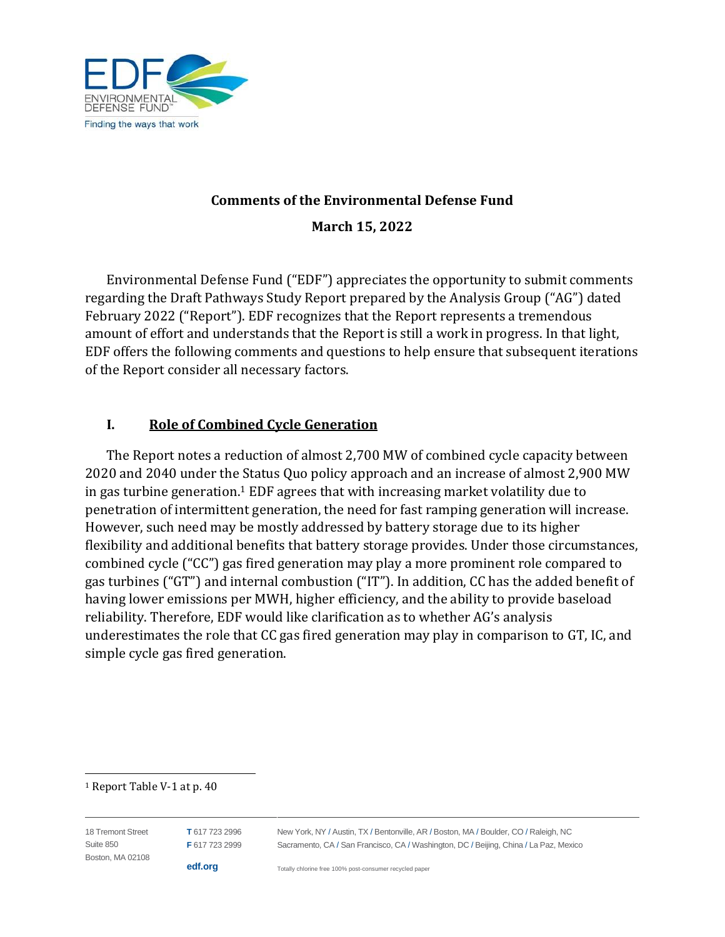

#### **Comments of the Environmental Defense Fund**

**March 15, 2022**

Environmental Defense Fund ("EDF") appreciates the opportunity to submit comments regarding the Draft Pathways Study Report prepared by the Analysis Group ("AG") dated February 2022 ("Report"). EDF recognizes that the Report represents a tremendous amount of effort and understands that the Report is still a work in progress. In that light, EDF offers the following comments and questions to help ensure that subsequent iterations of the Report consider all necessary factors.

### **I. Role of Combined Cycle Generation**

The Report notes a reduction of almost 2,700 MW of combined cycle capacity between 2020 and 2040 under the Status Quo policy approach and an increase of almost 2,900 MW in gas turbine generation. <sup>1</sup> EDF agrees that with increasing market volatility due to penetration of intermittent generation, the need for fast ramping generation will increase. However, such need may be mostly addressed by battery storage due to its higher flexibility and additional benefits that battery storage provides. Under those circumstances, combined cycle ("CC") gas fired generation may play a more prominent role compared to gas turbines ("GT") and internal combustion ("IT"). In addition, CC has the added benefit of having lower emissions per MWH, higher efficiency, and the ability to provide baseload reliability. Therefore, EDF would like clarification as to whether AG's analysis underestimates the role that CC gas fired generation may play in comparison to GT, IC, and simple cycle gas fired generation.

<sup>1</sup> Report Table V-1 at p. 40

| 18 Tremont Street | T 617 723 2996 | New York, NY / Austin, TX / Bentonville, AR / Boston, MA / Boulder, CO / Raleigh, NC  |
|-------------------|----------------|---------------------------------------------------------------------------------------|
| Suite 850         | F 617 723 2999 | Sacramento, CA / San Francisco, CA / Washington, DC / Beijing, China / La Paz, Mexico |
| Boston, MA 02108  |                |                                                                                       |
|                   | edf.org        | Totally chlorine free 100% post-consumer recycled paper                               |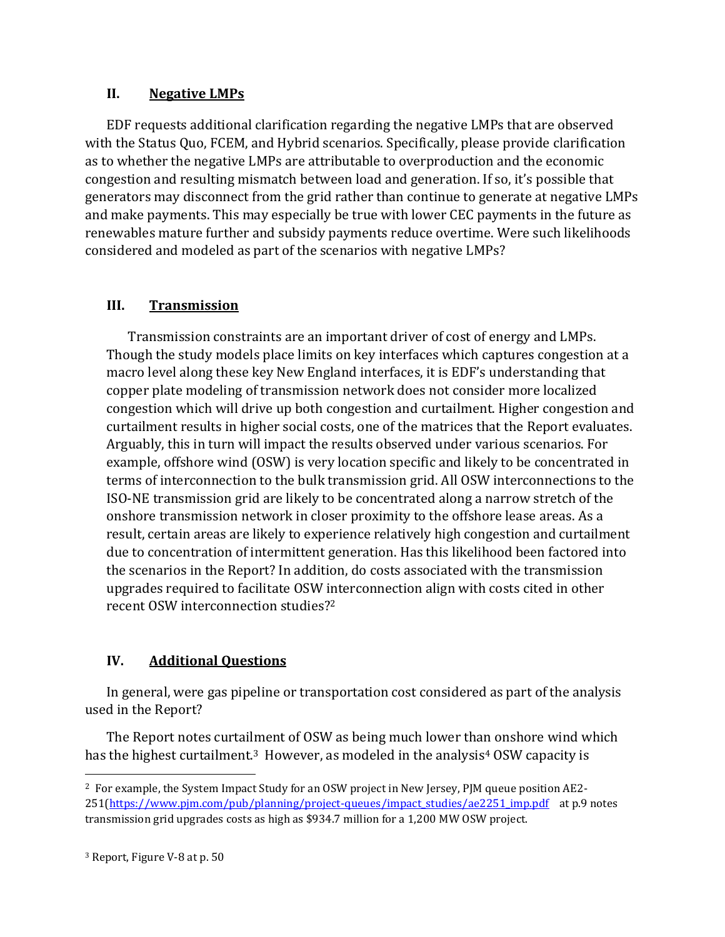### **II. Negative LMPs**

EDF requests additional clarification regarding the negative LMPs that are observed with the Status Quo, FCEM, and Hybrid scenarios. Specifically, please provide clarification as to whether the negative LMPs are attributable to overproduction and the economic congestion and resulting mismatch between load and generation. If so, it's possible that generators may disconnect from the grid rather than continue to generate at negative LMPs and make payments. This may especially be true with lower CEC payments in the future as renewables mature further and subsidy payments reduce overtime. Were such likelihoods considered and modeled as part of the scenarios with negative LMPs?

## **III. Transmission**

Transmission constraints are an important driver of cost of energy and LMPs. Though the study models place limits on key interfaces which captures congestion at a macro level along these key New England interfaces, it is EDF's understanding that copper plate modeling of transmission network does not consider more localized congestion which will drive up both congestion and curtailment. Higher congestion and curtailment results in higher social costs, one of the matrices that the Report evaluates. Arguably, this in turn will impact the results observed under various scenarios. For example, offshore wind (OSW) is very location specific and likely to be concentrated in terms of interconnection to the bulk transmission grid. All OSW interconnections to the ISO-NE transmission grid are likely to be concentrated along a narrow stretch of the onshore transmission network in closer proximity to the offshore lease areas. As a result, certain areas are likely to experience relatively high congestion and curtailment due to concentration of intermittent generation. Has this likelihood been factored into the scenarios in the Report? In addition, do costs associated with the transmission upgrades required to facilitate OSW interconnection align with costs cited in other recent OSW interconnection studies? 2

# **IV. Additional Questions**

In general, were gas pipeline or transportation cost considered as part of the analysis used in the Report?

The Report notes curtailment of OSW as being much lower than onshore wind which has the highest curtailment.<sup>3</sup> However, as modeled in the analysis<sup>4</sup> OSW capacity is

<sup>2</sup> For example, the System Impact Study for an OSW project in New Jersey, PJM queue position AE2- 251[\(https://www.pjm.com/pub/planning/project-queues/impact\\_studies/ae2251\\_imp.pdf](https://www.pjm.com/pub/planning/project-queues/impact_studies/ae2251_imp.pdf) at p.9 notes transmission grid upgrades costs as high as \$934.7 million for a 1,200 MW OSW project.